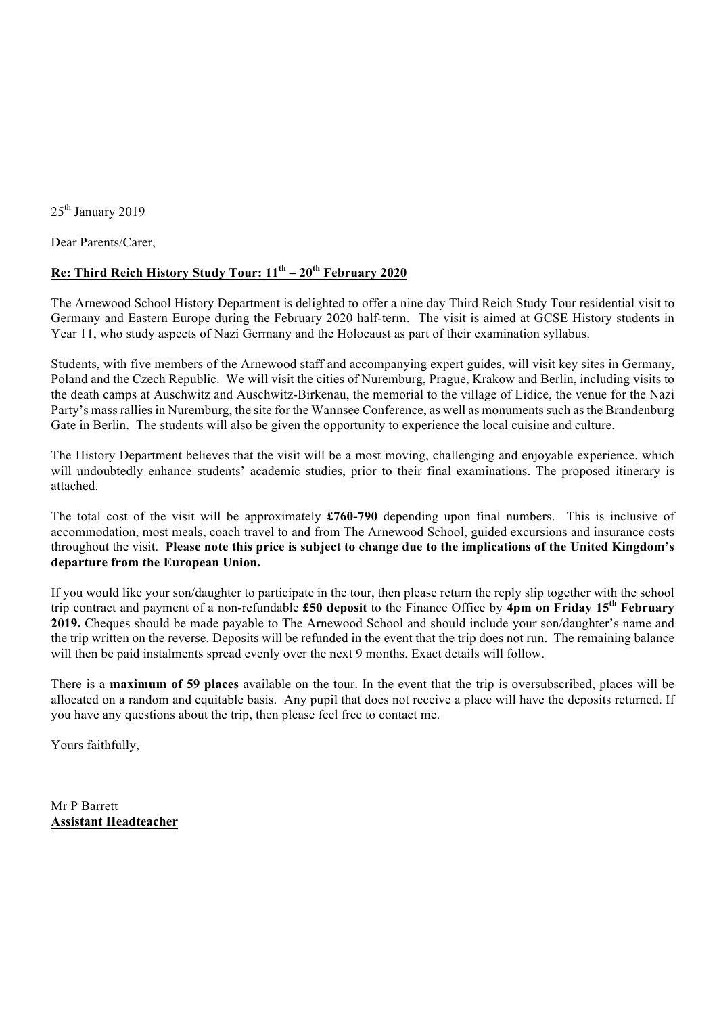25<sup>th</sup> January 2019

Dear Parents/Carer,

## **Re: Third Reich History Study Tour: 11th – 20th February 2020**

The Arnewood School History Department is delighted to offer a nine day Third Reich Study Tour residential visit to Germany and Eastern Europe during the February 2020 half-term. The visit is aimed at GCSE History students in Year 11, who study aspects of Nazi Germany and the Holocaust as part of their examination syllabus.

Students, with five members of the Arnewood staff and accompanying expert guides, will visit key sites in Germany, Poland and the Czech Republic. We will visit the cities of Nuremburg, Prague, Krakow and Berlin, including visits to the death camps at Auschwitz and Auschwitz-Birkenau, the memorial to the village of Lidice, the venue for the Nazi Party's mass rallies in Nuremburg, the site for the Wannsee Conference, as well as monuments such as the Brandenburg Gate in Berlin. The students will also be given the opportunity to experience the local cuisine and culture.

The History Department believes that the visit will be a most moving, challenging and enjoyable experience, which will undoubtedly enhance students' academic studies, prior to their final examinations. The proposed itinerary is attached.

The total cost of the visit will be approximately **£760-790** depending upon final numbers. This is inclusive of accommodation, most meals, coach travel to and from The Arnewood School, guided excursions and insurance costs throughout the visit. **Please note this price is subject to change due to the implications of the United Kingdom's departure from the European Union.**

If you would like your son/daughter to participate in the tour, then please return the reply slip together with the school trip contract and payment of a non-refundable **£50 deposit** to the Finance Office by **4pm on Friday 15th February 2019.** Cheques should be made payable to The Arnewood School and should include your son/daughter's name and the trip written on the reverse. Deposits will be refunded in the event that the trip does not run. The remaining balance will then be paid instalments spread evenly over the next 9 months. Exact details will follow.

There is a **maximum of 59 places** available on the tour. In the event that the trip is oversubscribed, places will be allocated on a random and equitable basis. Any pupil that does not receive a place will have the deposits returned. If you have any questions about the trip, then please feel free to contact me.

Yours faithfully,

Mr P Barrett **Assistant Headteacher**